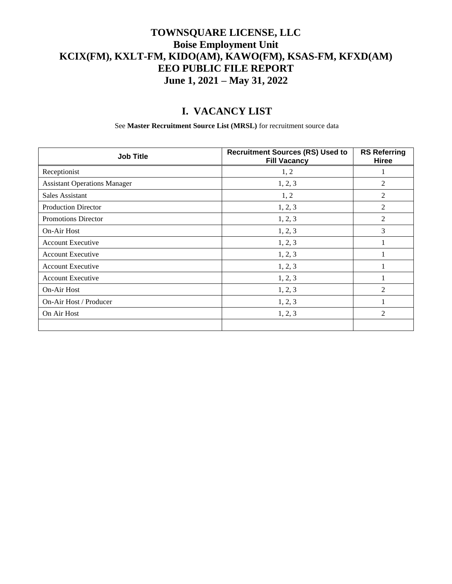### **TOWNSQUARE LICENSE, LLC Boise Employment Unit KCIX(FM), KXLT-FM, KIDO(AM), KAWO(FM), KSAS-FM, KFXD(AM) EEO PUBLIC FILE REPORT June 1, 2021 – May 31, 2022**

## **I. VACANCY LIST**

See **Master Recruitment Source List (MRSL)** for recruitment source data

| <b>Job Title</b>                    | <b>Recruitment Sources (RS) Used to</b><br><b>Fill Vacancy</b> | <b>RS Referring</b><br><b>Hiree</b> |
|-------------------------------------|----------------------------------------------------------------|-------------------------------------|
| Receptionist                        | 1, 2                                                           |                                     |
| <b>Assistant Operations Manager</b> | 1, 2, 3                                                        | 2                                   |
| Sales Assistant                     | 1, 2                                                           | 2                                   |
| <b>Production Director</b>          | 1, 2, 3                                                        | $\overline{2}$                      |
| <b>Promotions Director</b>          | 1, 2, 3                                                        | $\overline{2}$                      |
| <b>On-Air Host</b>                  | 1, 2, 3                                                        | $\overline{3}$                      |
| <b>Account Executive</b>            | 1, 2, 3                                                        |                                     |
| <b>Account Executive</b>            | 1, 2, 3                                                        |                                     |
| Account Executive                   | 1, 2, 3                                                        |                                     |
| <b>Account Executive</b>            | 1, 2, 3                                                        |                                     |
| On-Air Host                         | 1, 2, 3                                                        | 2                                   |
| On-Air Host / Producer              | 1, 2, 3                                                        |                                     |
| On Air Host                         | 1, 2, 3                                                        | $\overline{2}$                      |
|                                     |                                                                |                                     |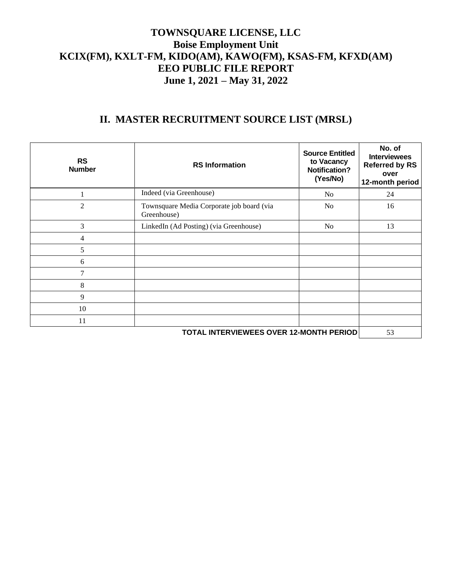#### **TOWNSQUARE LICENSE, LLC Boise Employment Unit KCIX(FM), KXLT-FM, KIDO(AM), KAWO(FM), KSAS-FM, KFXD(AM) EEO PUBLIC FILE REPORT June 1, 2021 – May 31, 2022**

# **II. MASTER RECRUITMENT SOURCE LIST (MRSL)**

| <b>RS</b><br><b>Number</b> | <b>RS</b> Information                                    | <b>Source Entitled</b><br>to Vacancy<br><b>Notification?</b><br>(Yes/No) | No. of<br><b>Interviewees</b><br><b>Referred by RS</b><br>over<br>12-month period |
|----------------------------|----------------------------------------------------------|--------------------------------------------------------------------------|-----------------------------------------------------------------------------------|
|                            | Indeed (via Greenhouse)                                  | No                                                                       | 24                                                                                |
| 2                          | Townsquare Media Corporate job board (via<br>Greenhouse) | N <sub>0</sub>                                                           | 16                                                                                |
| 3                          | LinkedIn (Ad Posting) (via Greenhouse)                   | N <sub>o</sub>                                                           | 13                                                                                |
| 4                          |                                                          |                                                                          |                                                                                   |
| 5                          |                                                          |                                                                          |                                                                                   |
| 6                          |                                                          |                                                                          |                                                                                   |
| $\tau$                     |                                                          |                                                                          |                                                                                   |
| 8                          |                                                          |                                                                          |                                                                                   |
| 9                          |                                                          |                                                                          |                                                                                   |
| 10                         |                                                          |                                                                          |                                                                                   |
| 11                         |                                                          |                                                                          |                                                                                   |
|                            | TOTAL INTERVIEWEES OVER 12-MONTH PERIOD<br>53            |                                                                          |                                                                                   |